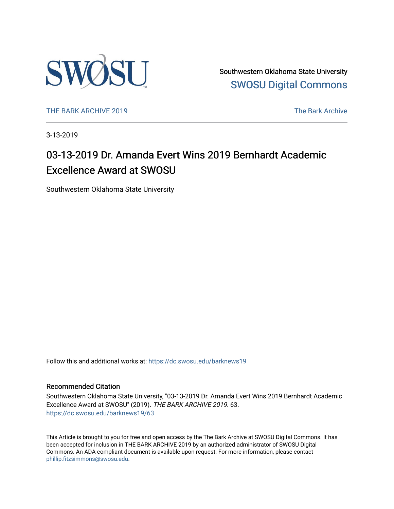

Southwestern Oklahoma State University [SWOSU Digital Commons](https://dc.swosu.edu/) 

[THE BARK ARCHIVE 2019](https://dc.swosu.edu/barknews19) The Bark Archive

3-13-2019

# 03-13-2019 Dr. Amanda Evert Wins 2019 Bernhardt Academic Excellence Award at SWOSU

Southwestern Oklahoma State University

Follow this and additional works at: [https://dc.swosu.edu/barknews19](https://dc.swosu.edu/barknews19?utm_source=dc.swosu.edu%2Fbarknews19%2F63&utm_medium=PDF&utm_campaign=PDFCoverPages)

#### Recommended Citation

Southwestern Oklahoma State University, "03-13-2019 Dr. Amanda Evert Wins 2019 Bernhardt Academic Excellence Award at SWOSU" (2019). THE BARK ARCHIVE 2019. 63. [https://dc.swosu.edu/barknews19/63](https://dc.swosu.edu/barknews19/63?utm_source=dc.swosu.edu%2Fbarknews19%2F63&utm_medium=PDF&utm_campaign=PDFCoverPages) 

This Article is brought to you for free and open access by the The Bark Archive at SWOSU Digital Commons. It has been accepted for inclusion in THE BARK ARCHIVE 2019 by an authorized administrator of SWOSU Digital Commons. An ADA compliant document is available upon request. For more information, please contact [phillip.fitzsimmons@swosu.edu](mailto:phillip.fitzsimmons@swosu.edu).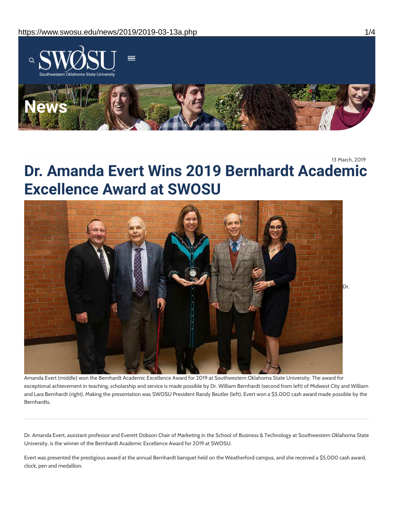

13 March, 2019

# **Dr. Amanda Evert Wins 2019 Bernhardt Academic Excellence Award at SWOSU**



Amanda Evert (middle) won the Bernhardt Academic Excellence Award for 2019 at Southwestern Oklahoma State University. The award for exceptional achievement in teaching, scholarship and service is made possible by Dr. William Bernhardt (second from left) of Midwest City and William and Lara Bernhardt (right). Making the presentation was SWOSU President Randy Beutler (left). Evert won a \$5,000 cash award made possible by the Bernhardts.

Dr. Amanda Evert, assistant professor and Everett Dobson Chair of Marketing in the School of Business & Technology at Southwestern Oklahoma State University, is the winner of the Bernhardt Academic Excellence Award for 2019 at SWOSU.

Evert was presented the prestigious award at the annual Bernhardt banquet held on the Weatherford campus, and she received a \$5,000 cash award, clock, pen and medallion.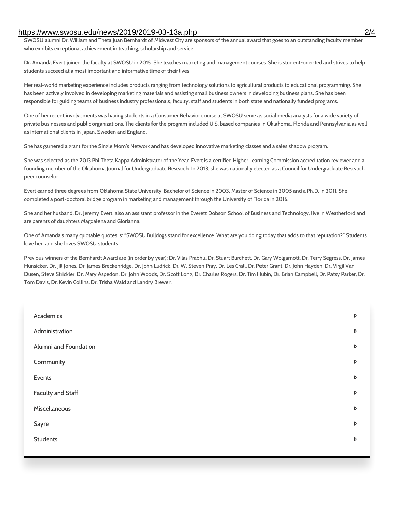#### https://www.swosu.edu/news/2019/2019-03-13a.php 2/4

SWOSU alumni Dr. William and Theta Juan Bernhardt of Midwest City are sponsors of the annual award that goes to an outstanding faculty member who exhibits exceptional achievement in teaching, scholarship and service.

**Dr. Amanda Evert** joined the faculty at SWOSU in 2015. She teaches marketing and management courses. She is student-oriented and strives to help students succeed at a most important and informative time of their lives.

Her real-world marketing experience includes products ranging from technology solutions to agricultural products to educational programming. She has been actively involved in developing marketing materials and assisting small business owners in developing business plans. She has been responsible for guiding teams of business industry professionals, faculty, staff and students in both state and nationally funded programs.

One of her recent involvements was having students in a Consumer Behavior course at SWOSU serve as social media analysts for a wide variety of private businesses and public organizations. The clients for the program included U.S. based companies in Oklahoma, Florida and Pennsylvania as well as international clients in Japan, Sweden and England.

She has garnered a grant for the Single Mom's Network and has developed innovative marketing classes and a sales shadow program.

She was selected as the 2013 Phi Theta Kappa Administrator of the Year. Evert is a certified Higher Learning Commission accreditation reviewer and a founding member of the Oklahoma Journal for Undergraduate Research. In 2013, she was nationally elected as a Council for Undergraduate Research peer counselor.

Evert earned three degrees from Oklahoma State University: Bachelor of Science in 2003, Master of Science in 2005 and a Ph.D. in 2011. She completed a post-doctoral bridge program in marketing and management through the University of Florida in 2016.

She and her husband, Dr. Jeremy Evert, also an assistant professor in the Everett Dobson School of Business and Technology, live in Weatherford and are parents of daughters Magdalena and Glorianna.

One of Amanda's many quotable quotes is: "SWOSU Bulldogs stand for excellence. What are you doing today that adds to that reputation?" Students love her, and she loves SWOSU students.

Previous winners of the Bernhardt Award are (in order by year): Dr. Vilas Prabhu, Dr. Stuart Burchett, Dr. Gary Wolgamott, Dr. Terry Segress, Dr. James Hunsicker, Dr. Jill Jones, Dr. James Breckenridge, Dr. John Ludrick, Dr. W. Steven Pray, Dr. Les Crall, Dr. Peter Grant, Dr. John Hayden, Dr. Virgil Van Dusen, Steve Strickler, Dr. Mary Aspedon, Dr. John Woods, Dr. Scott Long, Dr. Charles Rogers, Dr. Tim Hubin, Dr. Brian Campbell, Dr. Patsy Parker, Dr. Tom Davis, Dr. Kevin Collins, Dr. Trisha Wald and Landry Brewer.

| Academics                | $\triangleright$ |
|--------------------------|------------------|
| Administration           | $\triangleright$ |
| Alumni and Foundation    | D                |
| Community                | $\triangleright$ |
| Events                   | $\triangleright$ |
| <b>Faculty and Staff</b> | D                |
| Miscellaneous            | D                |
| Sayre                    | D                |
| <b>Students</b>          | D                |
|                          |                  |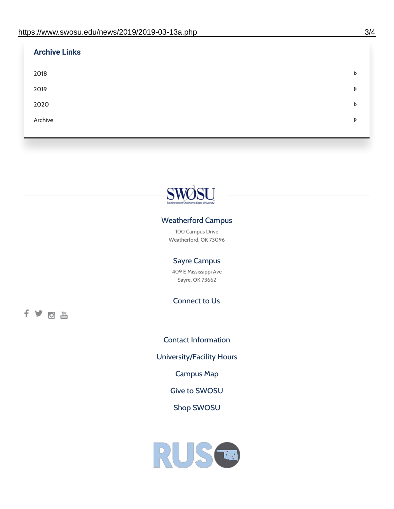| <b>Archive Links</b> |   |
|----------------------|---|
| 2018                 | D |
| 2019                 | D |
| 2020                 | D |
| Archive              | D |
|                      |   |



## Weatherford Campus

100 Campus Drive Weatherford, OK 73096

### Sayre Campus

409 E Mississippi Ave Sayre, OK 73662

Connect to Us

fyom

Contact [Information](https://www.swosu.edu/about/contact.php) [University/Facility](https://www.swosu.edu/about/operating-hours.php) Hours [Campus](https://map.concept3d.com/?id=768#!ct/10964,10214,10213,10212,10205,10204,10203,10202,10136,10129,10128,0,31226,10130,10201,10641,0) Map Give to [SWOSU](https://standingfirmly.com/donate) Shop [SWOSU](https://shopswosu.merchorders.com/)